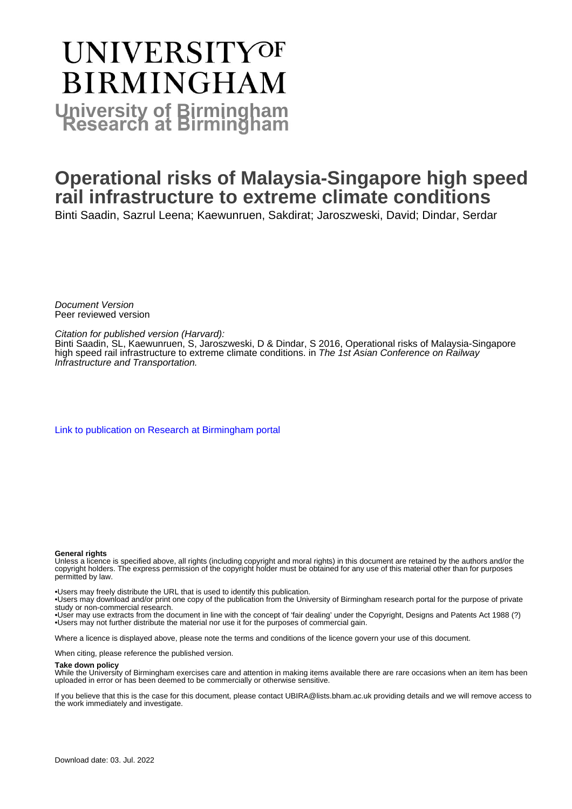# **UNIVERSITYOF BIRMINGHAM University of Birmingham**

# **Operational risks of Malaysia-Singapore high speed rail infrastructure to extreme climate conditions**

Binti Saadin, Sazrul Leena; Kaewunruen, Sakdirat; Jaroszweski, David; Dindar, Serdar

Document Version Peer reviewed version

Citation for published version (Harvard):

Binti Saadin, SL, Kaewunruen, S, Jaroszweski, D & Dindar, S 2016, Operational risks of Malaysia-Singapore high speed rail infrastructure to extreme climate conditions. in The 1st Asian Conference on Railway Infrastructure and Transportation.

[Link to publication on Research at Birmingham portal](https://birmingham.elsevierpure.com/en/publications/16d34adc-46d0-4a8c-ac0c-bceb83292e36)

#### **General rights**

Unless a licence is specified above, all rights (including copyright and moral rights) in this document are retained by the authors and/or the copyright holders. The express permission of the copyright holder must be obtained for any use of this material other than for purposes permitted by law.

• Users may freely distribute the URL that is used to identify this publication.

• Users may download and/or print one copy of the publication from the University of Birmingham research portal for the purpose of private study or non-commercial research.

• User may use extracts from the document in line with the concept of 'fair dealing' under the Copyright, Designs and Patents Act 1988 (?) • Users may not further distribute the material nor use it for the purposes of commercial gain.

Where a licence is displayed above, please note the terms and conditions of the licence govern your use of this document.

When citing, please reference the published version.

#### **Take down policy**

While the University of Birmingham exercises care and attention in making items available there are rare occasions when an item has been uploaded in error or has been deemed to be commercially or otherwise sensitive.

If you believe that this is the case for this document, please contact UBIRA@lists.bham.ac.uk providing details and we will remove access to the work immediately and investigate.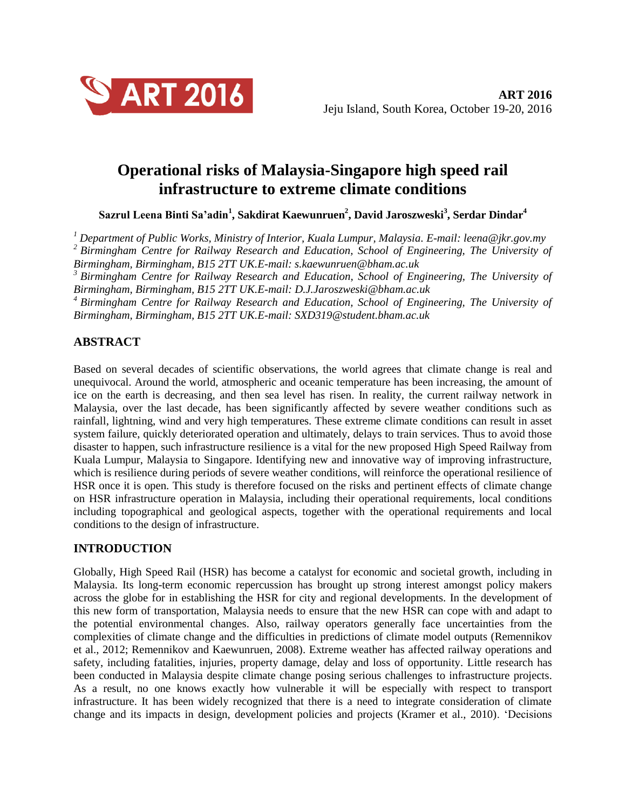

## **Operational risks of Malaysia-Singapore high speed rail infrastructure to extreme climate conditions**

 $\Delta$ Sazrul Leena Binti Sa'adin $^1$ , Sakdirat Kaewunruen $^2$ , David Jaroszweski $^3$ , Serdar Dindar $^4$ 

*<sup>1</sup> Department of Public Works, Ministry of Interior, Kuala Lumpur, Malaysia. E-mail: leena@jkr.gov.my <sup>2</sup>Birmingham Centre for Railway Research and Education, School of Engineering, The University of Birmingham, Birmingham, B15 2TT UK.E-mail: [s.kaewunruen@bham.ac.uk](mailto:s.kaewunruen@bham.ac.uk)*

*<sup>3</sup>Birmingham Centre for Railway Research and Education, School of Engineering, The University of Birmingham, Birmingham, B15 2TT UK.E-mail: D.J.Jaroszweski@bham.ac.uk*

*<sup>4</sup>Birmingham Centre for Railway Research and Education, School of Engineering, The University of Birmingham, Birmingham, B15 2TT UK.E-mail: SXD319@student.bham.ac.uk*

### **ABSTRACT**

Based on several decades of scientific observations, the world agrees that climate change is real and unequivocal. Around the world, atmospheric and oceanic temperature has been increasing, the amount of ice on the earth is decreasing, and then sea level has risen. In reality, the current railway network in Malaysia, over the last decade, has been significantly affected by severe weather conditions such as rainfall, lightning, wind and very high temperatures. These extreme climate conditions can result in asset system failure, quickly deteriorated operation and ultimately, delays to train services. Thus to avoid those disaster to happen, such infrastructure resilience is a vital for the new proposed High Speed Railway from Kuala Lumpur, Malaysia to Singapore. Identifying new and innovative way of improving infrastructure, which is resilience during periods of severe weather conditions, will reinforce the operational resilience of HSR once it is open. This study is therefore focused on the risks and pertinent effects of climate change on HSR infrastructure operation in Malaysia, including their operational requirements, local conditions including topographical and geological aspects, together with the operational requirements and local conditions to the design of infrastructure.

### **INTRODUCTION**

Globally, High Speed Rail (HSR) has become a catalyst for economic and societal growth, including in Malaysia. Its long-term economic repercussion has brought up strong interest amongst policy makers across the globe for in establishing the HSR for city and regional developments. In the development of this new form of transportation, Malaysia needs to ensure that the new HSR can cope with and adapt to the potential environmental changes. Also, railway operators generally face uncertainties from the complexities of climate change and the difficulties in predictions of climate model outputs (Remennikov et al., 2012; Remennikov and Kaewunruen, 2008). Extreme weather has affected railway operations and safety, including fatalities, injuries, property damage, delay and loss of opportunity. Little research has been conducted in Malaysia despite climate change posing serious challenges to infrastructure projects. As a result, no one knows exactly how vulnerable it will be especially with respect to transport infrastructure. It has been widely recognized that there is a need to integrate consideration of climate change and its impacts in design, development policies and projects (Kramer et al., 2010). 'Decisions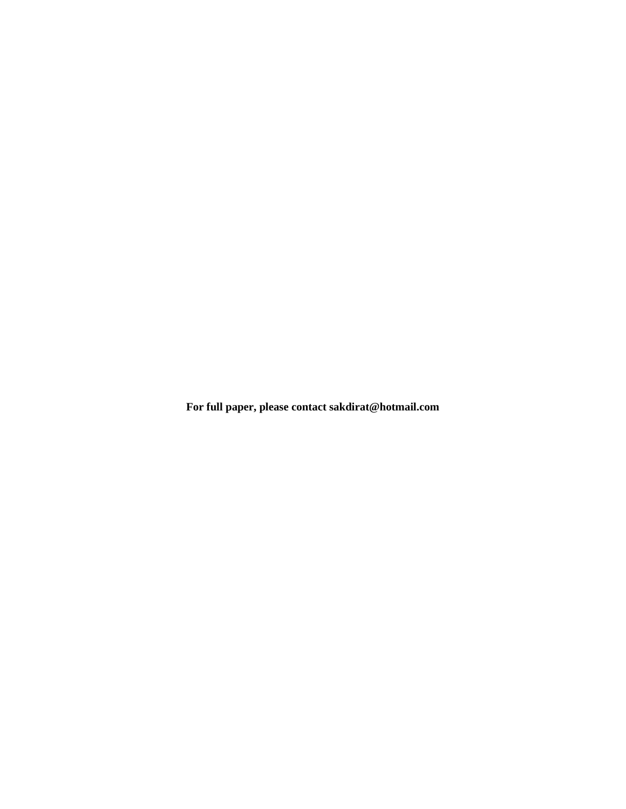**For full paper, please contact sakdirat@hotmail.com**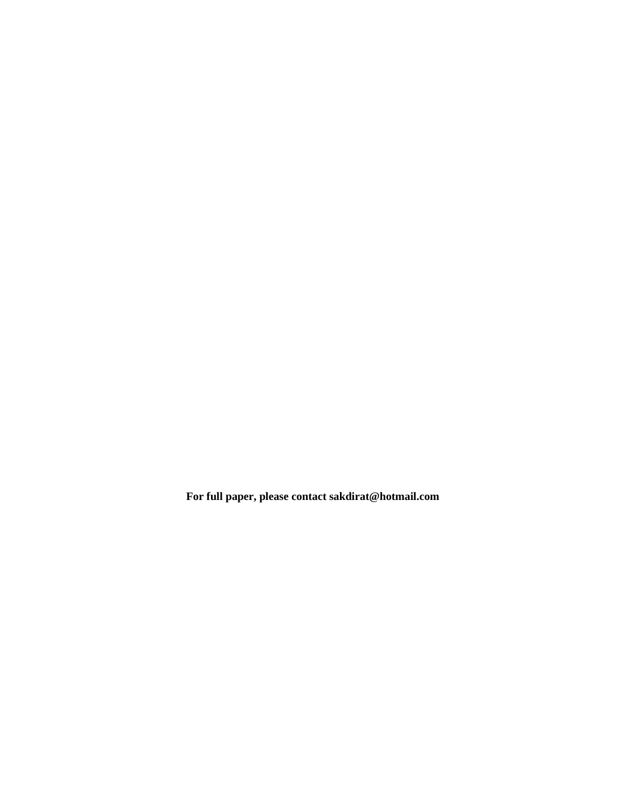**For full paper, please contact sakdirat@hotmail.com**